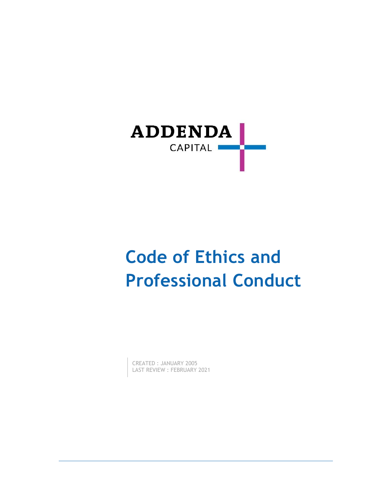

# **Code of Ethics and Professional Conduct**

CREATED : JANUARY 2005 LAST REVIEW : FEBRUARY 2021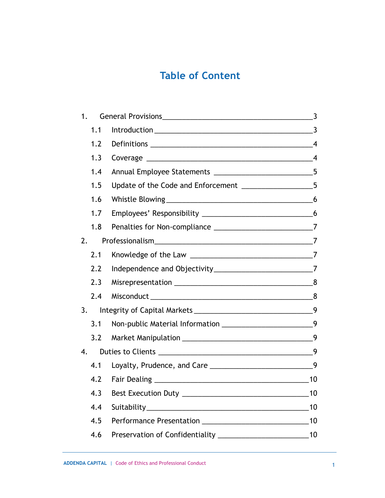## **Table of Content**

| 1. |     |                                                                |                |
|----|-----|----------------------------------------------------------------|----------------|
|    | 1.1 |                                                                |                |
|    | 1.2 |                                                                |                |
|    | 1.3 |                                                                | $\overline{4}$ |
|    | 1.4 |                                                                |                |
|    | 1.5 |                                                                |                |
|    | 1.6 |                                                                |                |
|    | 1.7 |                                                                |                |
|    | 1.8 |                                                                |                |
| 2. |     |                                                                |                |
|    | 2.1 |                                                                |                |
|    | 2.2 | Independence and Objectivity_________________________________7 |                |
|    | 2.3 |                                                                |                |
|    | 2.4 |                                                                |                |
| 3. |     |                                                                |                |
|    | 3.1 |                                                                | 9              |
|    | 3.2 |                                                                | 9              |
| 4. |     |                                                                |                |
|    | 4.1 |                                                                |                |
|    | 4.2 |                                                                | 10             |
|    |     | 4.3 Best Execution Duty _                                      | 10             |
|    | 4.4 |                                                                | 10             |
|    | 4.5 |                                                                | 10             |
|    | 4.6 |                                                                | 10             |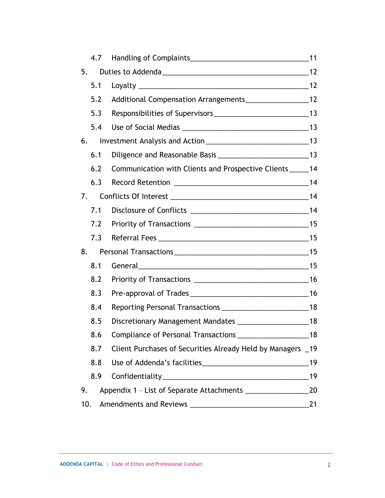|     | 4.7 |                                                             |    |
|-----|-----|-------------------------------------------------------------|----|
| 5.  |     |                                                             |    |
|     | 5.1 |                                                             |    |
|     | 5.2 |                                                             |    |
|     | 5.3 |                                                             |    |
|     | 5.4 |                                                             |    |
| 6.  |     |                                                             |    |
|     | 6.1 |                                                             |    |
|     | 6.2 | Communication with Clients and Prospective Clients_____14   |    |
|     | 6.3 |                                                             |    |
| 7.  |     |                                                             |    |
|     | 7.1 |                                                             | 14 |
|     | 7.2 |                                                             |    |
|     | 7.3 |                                                             |    |
| 8.  |     |                                                             |    |
|     | 8.1 | General 15                                                  |    |
|     | 8.2 |                                                             |    |
|     | 8.3 |                                                             |    |
|     | 8.4 |                                                             |    |
|     | 8.5 |                                                             |    |
|     |     |                                                             |    |
|     | 8.7 | Client Purchases of Securities Already Held by Managers _19 |    |
|     | 8.8 |                                                             | 19 |
|     | 8.9 |                                                             | 19 |
| 9.  |     |                                                             | 20 |
| 10. |     |                                                             | 21 |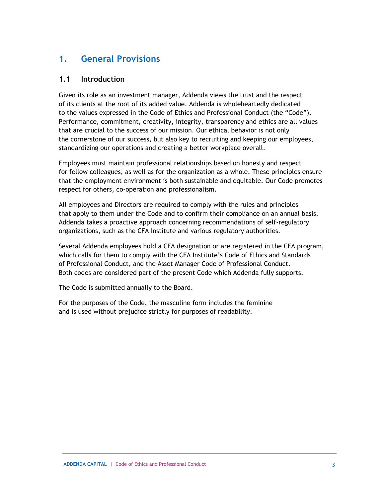## <span id="page-3-0"></span>**1. General Provisions**

#### <span id="page-3-1"></span>**1.1 Introduction**

Given its role as an investment manager, Addenda views the trust and the respect of its clients at the root of its added value. Addenda is wholeheartedly dedicated to the values expressed in the Code of Ethics and Professional Conduct (the "Code"). Performance, commitment, creativity, integrity, transparency and ethics are all values that are crucial to the success of our mission. Our ethical behavior is not only the cornerstone of our success, but also key to recruiting and keeping our employees, standardizing our operations and creating a better workplace overall.

Employees must maintain professional relationships based on honesty and respect for fellow colleagues, as well as for the organization as a whole. These principles ensure that the employment environment is both sustainable and equitable. Our Code promotes respect for others, co-operation and professionalism.

All employees and Directors are required to comply with the rules and principles that apply to them under the Code and to confirm their compliance on an annual basis. Addenda takes a proactive approach concerning recommendations of self-regulatory organizations, such as the CFA Institute and various regulatory authorities.

Several Addenda employees hold a CFA designation or are registered in the CFA program, which calls for them to comply with the CFA Institute's Code of Ethics and Standards of Professional Conduct, and the Asset Manager Code of Professional Conduct. Both codes are considered part of the present Code which Addenda fully supports.

The Code is submitted annually to the Board.

For the purposes of the Code, the masculine form includes the feminine and is used without prejudice strictly for purposes of readability.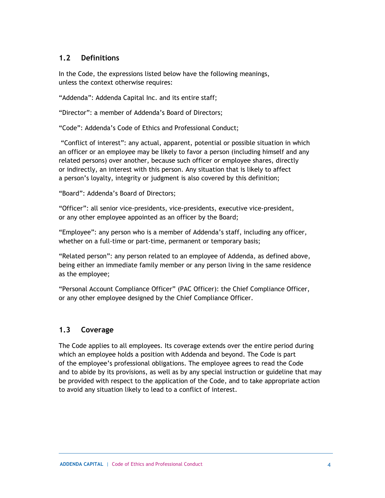#### <span id="page-4-0"></span>**1.2 Definitions**

In the Code, the expressions listed below have the following meanings, unless the context otherwise requires:

"Addenda": Addenda Capital Inc. and its entire staff;

"Director": a member of Addenda's Board of Directors;

"Code": Addenda's Code of Ethics and Professional Conduct;

"Conflict of interest": any actual, apparent, potential or possible situation in which an officer or an employee may be likely to favor a person (including himself and any related persons) over another, because such officer or employee shares, directly or indirectly, an interest with this person. Any situation that is likely to affect a person's loyalty, integrity or judgment is also covered by this definition;

"Board": Addenda's Board of Directors;

"Officer": all senior vice-presidents, vice-presidents, executive vice-president, or any other employee appointed as an officer by the Board;

"Employee": any person who is a member of Addenda's staff, including any officer, whether on a full-time or part-time, permanent or temporary basis;

"Related person": any person related to an employee of Addenda, as defined above, being either an immediate family member or any person living in the same residence as the employee;

"Personal Account Compliance Officer" (PAC Officer): the Chief Compliance Officer, or any other employee designed by the Chief Compliance Officer.

#### <span id="page-4-1"></span>**1.3 Coverage**

The Code applies to all employees. Its coverage extends over the entire period during which an employee holds a position with Addenda and beyond. The Code is part of the employee's professional obligations. The employee agrees to read the Code and to abide by its provisions, as well as by any special instruction or guideline that may be provided with respect to the application of the Code, and to take appropriate action to avoid any situation likely to lead to a conflict of interest.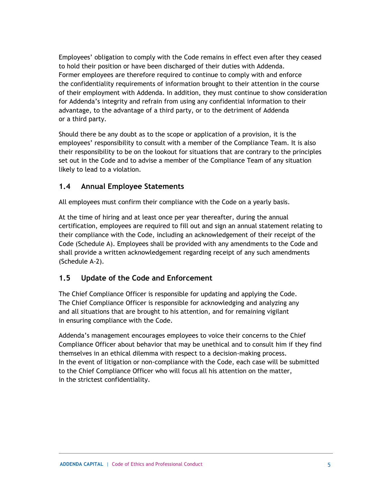Employees' obligation to comply with the Code remains in effect even after they ceased to hold their position or have been discharged of their duties with Addenda. Former employees are therefore required to continue to comply with and enforce the confidentiality requirements of information brought to their attention in the course of their employment with Addenda. In addition, they must continue to show consideration for Addenda's integrity and refrain from using any confidential information to their advantage, to the advantage of a third party, or to the detriment of Addenda or a third party.

Should there be any doubt as to the scope or application of a provision, it is the employees' responsibility to consult with a member of the Compliance Team. It is also their responsibility to be on the lookout for situations that are contrary to the principles set out in the Code and to advise a member of the Compliance Team of any situation likely to lead to a violation.

#### <span id="page-5-0"></span>**1.4 Annual Employee Statements**

All employees must confirm their compliance with the Code on a yearly basis.

At the time of hiring and at least once per year thereafter, during the annual certification, employees are required to fill out and sign an annual statement relating to their compliance with the Code, including an acknowledgement of their receipt of the Code (Schedule A). Employees shall be provided with any amendments to the Code and shall provide a written acknowledgement regarding receipt of any such amendments (Schedule A-2).

#### <span id="page-5-1"></span>**1.5 Update of the Code and Enforcement**

The Chief Compliance Officer is responsible for updating and applying the Code. The Chief Compliance Officer is responsible for acknowledging and analyzing any and all situations that are brought to his attention, and for remaining vigilant in ensuring compliance with the Code.

Addenda's management encourages employees to voice their concerns to the Chief Compliance Officer about behavior that may be unethical and to consult him if they find themselves in an ethical dilemma with respect to a decision-making process. In the event of litigation or non-compliance with the Code, each case will be submitted to the Chief Compliance Officer who will focus all his attention on the matter, in the strictest confidentiality.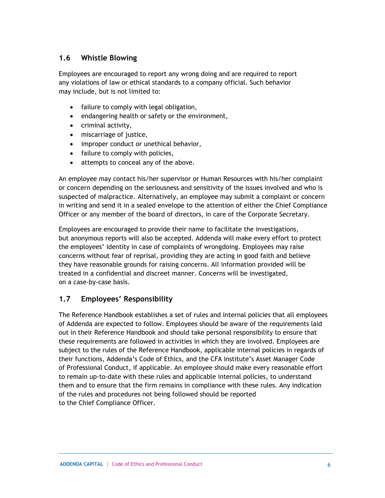#### <span id="page-6-0"></span>**1.6 Whistle Blowing**

Employees are encouraged to report any wrong doing and are required to report any violations of law or ethical standards to a company official. Such behavior may include, but is not limited to:

- failure to comply with legal obligation,
- endangering health or safety or the environment,
- criminal activity,
- miscarriage of justice,
- improper conduct or unethical behavior,
- failure to comply with policies,
- attempts to conceal any of the above.

An employee may contact his/her supervisor or Human Resources with his/her complaint or concern depending on the seriousness and sensitivity of the issues involved and who is suspected of malpractice. Alternatively, an employee may submit a complaint or concern in writing and send it in a sealed envelope to the attention of either the Chief Compliance Officer or any member of the board of directors, in care of the Corporate Secretary.

Employees are encouraged to provide their name to facilitate the investigations, but anonymous reports will also be accepted. Addenda will make every effort to protect the employees' identity in case of complaints of wrongdoing. Employees may raise concerns without fear of reprisal, providing they are acting in good faith and believe they have reasonable grounds for raising concerns. All information provided will be treated in a confidential and discreet manner. Concerns will be investigated, on a case-by-case basis.

#### <span id="page-6-1"></span>**1.7 Employees' Responsibility**

The Reference Handbook establishes a set of rules and internal policies that all employees of Addenda are expected to follow. Employees should be aware of the requirements laid out in their Reference Handbook and should take personal responsibility to ensure that these requirements are followed in activities in which they are involved. Employees are subject to the rules of the Reference Handbook, applicable internal policies in regards of their functions, Addenda's Code of Ethics, and the CFA Institute's Asset Manager Code of Professional Conduct, if applicable. An employee should make every reasonable effort to remain up-to-date with these rules and applicable internal policies, to understand them and to ensure that the firm remains in compliance with these rules. Any indication of the rules and procedures not being followed should be reported to the Chief Compliance Officer.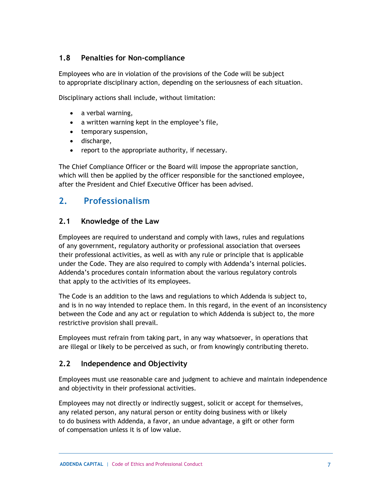#### <span id="page-7-0"></span>**1.8 Penalties for Non-compliance**

Employees who are in violation of the provisions of the Code will be subject to appropriate disciplinary action, depending on the seriousness of each situation.

Disciplinary actions shall include, without limitation:

- a verbal warning,
- a written warning kept in the employee's file,
- temporary suspension,
- discharge,
- report to the appropriate authority, if necessary.

The Chief Compliance Officer or the Board will impose the appropriate sanction, which will then be applied by the officer responsible for the sanctioned employee, after the President and Chief Executive Officer has been advised.

#### <span id="page-7-1"></span>**2. Professionalism**

#### <span id="page-7-2"></span>**2.1 Knowledge of the Law**

Employees are required to understand and comply with laws, rules and regulations of any government, regulatory authority or professional association that oversees their professional activities, as well as with any rule or principle that is applicable under the Code. They are also required to comply with Addenda's internal policies. Addenda's procedures contain information about the various regulatory controls that apply to the activities of its employees.

The Code is an addition to the laws and regulations to which Addenda is subject to, and is in no way intended to replace them. In this regard, in the event of an inconsistency between the Code and any act or regulation to which Addenda is subject to, the more restrictive provision shall prevail.

Employees must refrain from taking part, in any way whatsoever, in operations that are illegal or likely to be perceived as such, or from knowingly contributing thereto.

#### <span id="page-7-3"></span>**2.2 Independence and Objectivity**

Employees must use reasonable care and judgment to achieve and maintain independence and objectivity in their professional activities.

Employees may not directly or indirectly suggest, solicit or accept for themselves, any related person, any natural person or entity doing business with or likely to do business with Addenda, a favor, an undue advantage, a gift or other form of compensation unless it is of low value.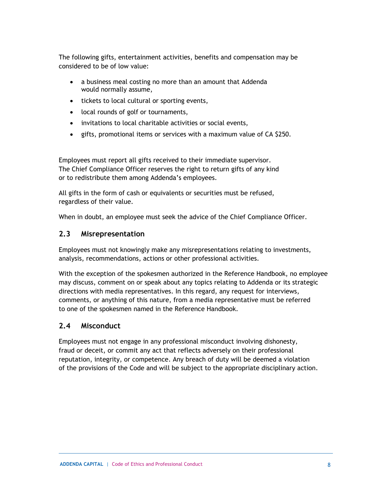The following gifts, entertainment activities, benefits and compensation may be considered to be of low value:

- a business meal costing no more than an amount that Addenda would normally assume,
- tickets to local cultural or sporting events,
- local rounds of golf or tournaments,
- invitations to local charitable activities or social events,
- gifts, promotional items or services with a maximum value of CA \$250.

Employees must report all gifts received to their immediate supervisor. The Chief Compliance Officer reserves the right to return gifts of any kind or to redistribute them among Addenda's employees.

All gifts in the form of cash or equivalents or securities must be refused, regardless of their value.

When in doubt, an employee must seek the advice of the Chief Compliance Officer.

#### <span id="page-8-0"></span>**2.3 Misrepresentation**

Employees must not knowingly make any misrepresentations relating to investments, analysis, recommendations, actions or other professional activities.

With the exception of the spokesmen authorized in the Reference Handbook, no employee may discuss, comment on or speak about any topics relating to Addenda or its strategic directions with media representatives. In this regard, any request for interviews, comments, or anything of this nature, from a media representative must be referred to one of the spokesmen named in the Reference Handbook.

#### <span id="page-8-1"></span>**2.4 Misconduct**

Employees must not engage in any professional misconduct involving dishonesty, fraud or deceit, or commit any act that reflects adversely on their professional reputation, integrity, or competence. Any breach of duty will be deemed a violation of the provisions of the Code and will be subject to the appropriate disciplinary action.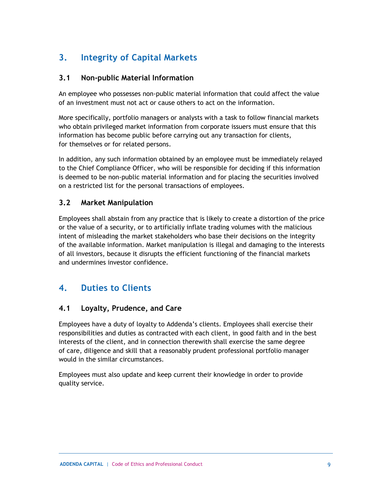## <span id="page-9-0"></span>**3. Integrity of Capital Markets**

#### <span id="page-9-1"></span>**3.1 Non-public Material Information**

An employee who possesses non-public material information that could affect the value of an investment must not act or cause others to act on the information.

More specifically, portfolio managers or analysts with a task to follow financial markets who obtain privileged market information from corporate issuers must ensure that this information has become public before carrying out any transaction for clients, for themselves or for related persons.

In addition, any such information obtained by an employee must be immediately relayed to the Chief Compliance Officer, who will be responsible for deciding if this information is deemed to be non-public material information and for placing the securities involved on a restricted list for the personal transactions of employees.

#### <span id="page-9-2"></span>**3.2 Market Manipulation**

Employees shall abstain from any practice that is likely to create a distortion of the price or the value of a security, or to artificially inflate trading volumes with the malicious intent of misleading the market stakeholders who base their decisions on the integrity of the available information. Market manipulation is illegal and damaging to the interests of all investors, because it disrupts the efficient functioning of the financial markets and undermines investor confidence.

## <span id="page-9-3"></span>**4. Duties to Clients**

#### <span id="page-9-4"></span>**4.1 Loyalty, Prudence, and Care**

Employees have a duty of loyalty to Addenda's clients. Employees shall exercise their responsibilities and duties as contracted with each client, in good faith and in the best interests of the client, and in connection therewith shall exercise the same degree of care, diligence and skill that a reasonably prudent professional portfolio manager would in the similar circumstances.

Employees must also update and keep current their knowledge in order to provide quality service.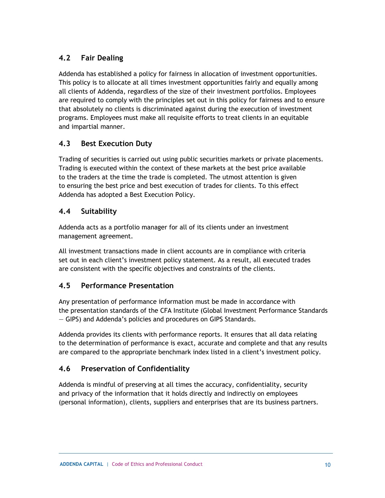#### <span id="page-10-0"></span>**4.2 Fair Dealing**

Addenda has established a policy for fairness in allocation of investment opportunities. This policy is to allocate at all times investment opportunities fairly and equally among all clients of Addenda, regardless of the size of their investment portfolios. Employees are required to comply with the principles set out in this policy for fairness and to ensure that absolutely no clients is discriminated against during the execution of investment programs. Employees must make all requisite efforts to treat clients in an equitable and impartial manner.

#### <span id="page-10-1"></span>**4.3 Best Execution Duty**

Trading of securities is carried out using public securities markets or private placements. Trading is executed within the context of these markets at the best price available to the traders at the time the trade is completed. The utmost attention is given to ensuring the best price and best execution of trades for clients. To this effect Addenda has adopted a Best Execution Policy.

#### <span id="page-10-2"></span>**4.4 Suitability**

Addenda acts as a portfolio manager for all of its clients under an investment management agreement.

All investment transactions made in client accounts are in compliance with criteria set out in each client's investment policy statement. As a result, all executed trades are consistent with the specific objectives and constraints of the clients.

#### <span id="page-10-3"></span>**4.5 Performance Presentation**

Any presentation of performance information must be made in accordance with the presentation standards of the CFA Institute (Global Investment Performance Standards — GIPS) and Addenda's policies and procedures on GIPS Standards.

Addenda provides its clients with performance reports. It ensures that all data relating to the determination of performance is exact, accurate and complete and that any results are compared to the appropriate benchmark index listed in a client's investment policy.

#### <span id="page-10-4"></span>**4.6 Preservation of Confidentiality**

Addenda is mindful of preserving at all times the accuracy, confidentiality, security and privacy of the information that it holds directly and indirectly on employees (personal information), clients, suppliers and enterprises that are its business partners.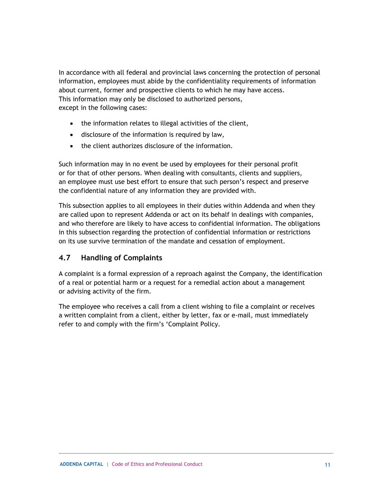In accordance with all federal and provincial laws concerning the protection of personal information, employees must abide by the confidentiality requirements of information about current, former and prospective clients to which he may have access. This information may only be disclosed to authorized persons, except in the following cases:

- the information relates to illegal activities of the client,
- disclosure of the information is required by law,
- the client authorizes disclosure of the information.

Such information may in no event be used by employees for their personal profit or for that of other persons. When dealing with consultants, clients and suppliers, an employee must use best effort to ensure that such person's respect and preserve the confidential nature of any information they are provided with.

This subsection applies to all employees in their duties within Addenda and when they are called upon to represent Addenda or act on its behalf in dealings with companies, and who therefore are likely to have access to confidential information. The obligations in this subsection regarding the protection of confidential information or restrictions on its use survive termination of the mandate and cessation of employment.

#### <span id="page-11-0"></span>**4.7 Handling of Complaints**

A complaint is a formal expression of a reproach against the Company, the identification of a real or potential harm or a request for a remedial action about a management or advising activity of the firm.

The employee who receives a call from a client wishing to file a complaint or receives a written complaint from a client, either by letter, fax or e-mail, must immediately refer to and comply with the firm's 'Complaint Policy.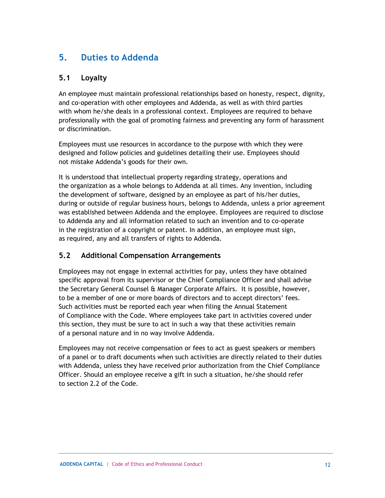## <span id="page-12-0"></span>**5. Duties to Addenda**

#### <span id="page-12-1"></span>**5.1 Loyalty**

An employee must maintain professional relationships based on honesty, respect, dignity, and co-operation with other employees and Addenda, as well as with third parties with whom he/she deals in a professional context. Employees are required to behave professionally with the goal of promoting fairness and preventing any form of harassment or discrimination.

Employees must use resources in accordance to the purpose with which they were designed and follow policies and guidelines detailing their use. Employees should not mistake Addenda's goods for their own.

It is understood that intellectual property regarding strategy, operations and the organization as a whole belongs to Addenda at all times. Any invention, including the development of software, designed by an employee as part of his/her duties, during or outside of regular business hours, belongs to Addenda, unless a prior agreement was established between Addenda and the employee. Employees are required to disclose to Addenda any and all information related to such an invention and to co-operate in the registration of a copyright or patent. In addition, an employee must sign, as required, any and all transfers of rights to Addenda.

#### <span id="page-12-2"></span>**5.2 Additional Compensation Arrangements**

Employees may not engage in external activities for pay, unless they have obtained specific approval from its supervisor or the Chief Compliance Officer and shall advise the Secretary General Counsel & Manager Corporate Affairs. It is possible, however, to be a member of one or more boards of directors and to accept directors' fees. Such activities must be reported each year when filing the Annual Statement of Compliance with the Code. Where employees take part in activities covered under this section, they must be sure to act in such a way that these activities remain of a personal nature and in no way involve Addenda.

Employees may not receive compensation or fees to act as guest speakers or members of a panel or to draft documents when such activities are directly related to their duties with Addenda, unless they have received prior authorization from the Chief Compliance Officer. Should an employee receive a gift in such a situation, he/she should refer to section 2.2 of the Code.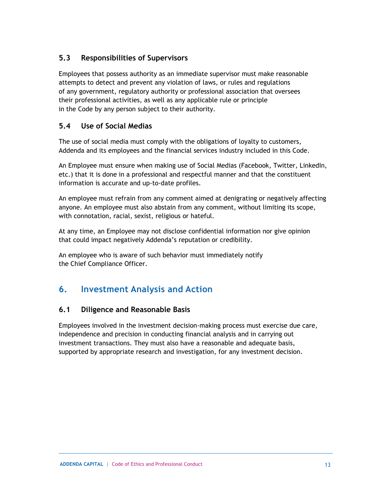#### <span id="page-13-0"></span>**5.3 Responsibilities of Supervisors**

Employees that possess authority as an immediate supervisor must make reasonable attempts to detect and prevent any violation of laws, or rules and regulations of any government, regulatory authority or professional association that oversees their professional activities, as well as any applicable rule or principle in the Code by any person subject to their authority.

#### <span id="page-13-1"></span>**5.4 Use of Social Medias**

The use of social media must comply with the obligations of loyalty to customers, Addenda and its employees and the financial services industry included in this Code.

An Employee must ensure when making use of Social Medias (Facebook, Twitter, LinkedIn, etc.) that it is done in a professional and respectful manner and that the constituent information is accurate and up-to-date profiles.

An employee must refrain from any comment aimed at denigrating or negatively affecting anyone. An employee must also abstain from any comment, without limiting its scope, with connotation, racial, sexist, religious or hateful.

At any time, an Employee may not disclose confidential information nor give opinion that could impact negatively Addenda's reputation or credibility.

An employee who is aware of such behavior must immediately notify the Chief Compliance Officer.

## <span id="page-13-2"></span>**6. Investment Analysis and Action**

#### <span id="page-13-3"></span>**6.1 Diligence and Reasonable Basis**

Employees involved in the investment decision-making process must exercise due care, independence and precision in conducting financial analysis and in carrying out investment transactions. They must also have a reasonable and adequate basis, supported by appropriate research and investigation, for any investment decision.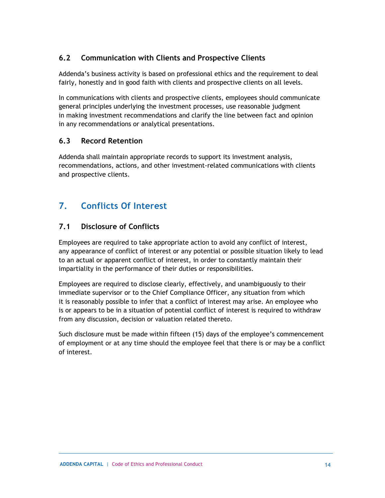#### <span id="page-14-0"></span>**6.2 Communication with Clients and Prospective Clients**

Addenda's business activity is based on professional ethics and the requirement to deal fairly, honestly and in good faith with clients and prospective clients on all levels.

In communications with clients and prospective clients, employees should communicate general principles underlying the investment processes, use reasonable judgment in making investment recommendations and clarify the line between fact and opinion in any recommendations or analytical presentations.

#### <span id="page-14-1"></span>**6.3 Record Retention**

Addenda shall maintain appropriate records to support its investment analysis, recommendations, actions, and other investment-related communications with clients and prospective clients.

## <span id="page-14-2"></span>**7. Conflicts Of Interest**

#### <span id="page-14-3"></span>**7.1 Disclosure of Conflicts**

Employees are required to take appropriate action to avoid any conflict of interest, any appearance of conflict of interest or any potential or possible situation likely to lead to an actual or apparent conflict of interest, in order to constantly maintain their impartiality in the performance of their duties or responsibilities.

Employees are required to disclose clearly, effectively, and unambiguously to their immediate supervisor or to the Chief Compliance Officer, any situation from which it is reasonably possible to infer that a conflict of interest may arise. An employee who is or appears to be in a situation of potential conflict of interest is required to withdraw from any discussion, decision or valuation related thereto.

Such disclosure must be made within fifteen (15) days of the employee's commencement of employment or at any time should the employee feel that there is or may be a conflict of interest.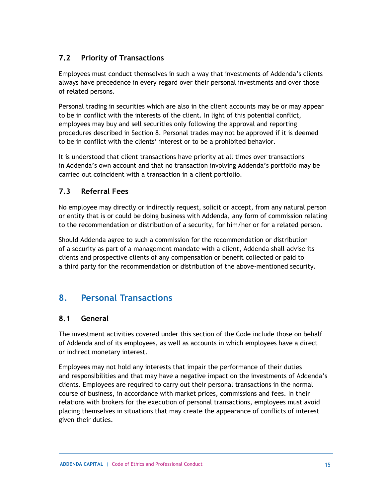#### <span id="page-15-0"></span>**7.2 Priority of Transactions**

Employees must conduct themselves in such a way that investments of Addenda's clients always have precedence in every regard over their personal investments and over those of related persons.

Personal trading in securities which are also in the client accounts may be or may appear to be in conflict with the interests of the client. In light of this potential conflict, employees may buy and sell securities only following the approval and reporting procedures described in Section 8. Personal trades may not be approved if it is deemed to be in conflict with the clients' interest or to be a prohibited behavior.

It is understood that client transactions have priority at all times over transactions in Addenda's own account and that no transaction involving Addenda's portfolio may be carried out coincident with a transaction in a client portfolio.

#### <span id="page-15-1"></span>**7.3 Referral Fees**

No employee may directly or indirectly request, solicit or accept, from any natural person or entity that is or could be doing business with Addenda, any form of commission relating to the recommendation or distribution of a security, for him/her or for a related person.

Should Addenda agree to such a commission for the recommendation or distribution of a security as part of a management mandate with a client, Addenda shall advise its clients and prospective clients of any compensation or benefit collected or paid to a third party for the recommendation or distribution of the above-mentioned security.

## <span id="page-15-2"></span>**8. Personal Transactions**

#### <span id="page-15-3"></span>**8.1 General**

The investment activities covered under this section of the Code include those on behalf of Addenda and of its employees, as well as accounts in which employees have a direct or indirect monetary interest.

Employees may not hold any interests that impair the performance of their duties and responsibilities and that may have a negative impact on the investments of Addenda's clients. Employees are required to carry out their personal transactions in the normal course of business, in accordance with market prices, commissions and fees. In their relations with brokers for the execution of personal transactions, employees must avoid placing themselves in situations that may create the appearance of conflicts of interest given their duties.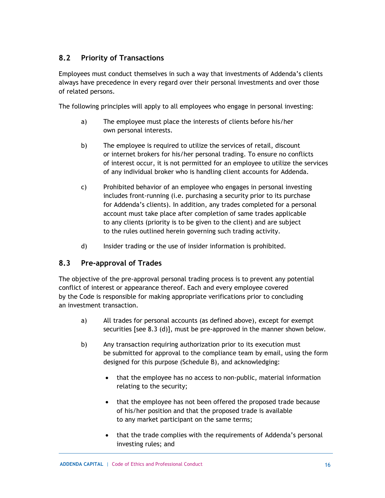#### <span id="page-16-0"></span>**8.2 Priority of Transactions**

Employees must conduct themselves in such a way that investments of Addenda's clients always have precedence in every regard over their personal investments and over those of related persons.

The following principles will apply to all employees who engage in personal investing:

- a) The employee must place the interests of clients before his/her own personal interests.
- b) The employee is required to utilize the services of retail, discount or internet brokers for his/her personal trading. To ensure no conflicts of interest occur, it is not permitted for an employee to utilize the services of any individual broker who is handling client accounts for Addenda.
- c) Prohibited behavior of an employee who engages in personal investing includes front-running (i.e. purchasing a security prior to its purchase for Addenda's clients). In addition, any trades completed for a personal account must take place after completion of same trades applicable to any clients (priority is to be given to the client) and are subject to the rules outlined herein governing such trading activity.
- d) Insider trading or the use of insider information is prohibited.

#### <span id="page-16-1"></span>**8.3 Pre-approval of Trades**

The objective of the pre-approval personal trading process is to prevent any potential conflict of interest or appearance thereof. Each and every employee covered by the Code is responsible for making appropriate verifications prior to concluding an investment transaction.

- a) All trades for personal accounts (as defined above), except for exempt securities [see 8.3 (d)], must be pre-approved in the manner shown below.
- b) Any transaction requiring authorization prior to its execution must be submitted for approval to the compliance team by email, using the form designed for this purpose (Schedule B), and acknowledging:
	- that the employee has no access to non-public, material information relating to the security;
	- that the employee has not been offered the proposed trade because of his/her position and that the proposed trade is available to any market participant on the same terms;
	- that the trade complies with the requirements of Addenda's personal investing rules; and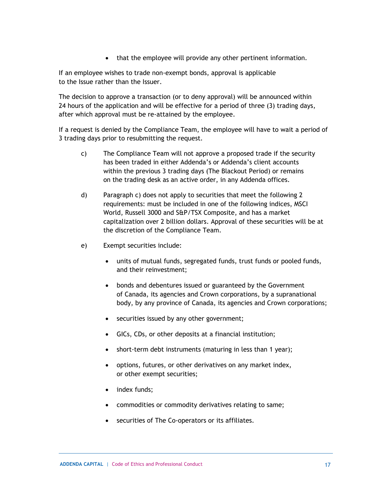• that the employee will provide any other pertinent information.

If an employee wishes to trade non-exempt bonds, approval is applicable to the Issue rather than the Issuer.

The decision to approve a transaction (or to deny approval) will be announced within 24 hours of the application and will be effective for a period of three (3) trading days, after which approval must be re-attained by the employee.

If a request is denied by the Compliance Team, the employee will have to wait a period of 3 trading days prior to resubmitting the request.

- c) The Compliance Team will not approve a proposed trade if the security has been traded in either Addenda's or Addenda's client accounts within the previous 3 trading days (The Blackout Period) or remains on the trading desk as an active order, in any Addenda offices.
- d) Paragraph c) does not apply to securities that meet the following 2 requirements: must be included in one of the following indices, MSCI World, Russell 3000 and S&P/TSX Composite, and has a market capitalization over 2 billion dollars. Approval of these securities will be at the discretion of the Compliance Team.
- e) Exempt securities include:
	- units of mutual funds, segregated funds, trust funds or pooled funds, and their reinvestment;
	- bonds and debentures issued or guaranteed by the Government of Canada, its agencies and Crown corporations, by a supranational body, by any province of Canada, its agencies and Crown corporations;
	- securities issued by any other government;
	- GICs, CDs, or other deposits at a financial institution;
	- short-term debt instruments (maturing in less than 1 year);
	- options, futures, or other derivatives on any market index, or other exempt securities;
	- index funds;
	- commodities or commodity derivatives relating to same;
	- securities of The Co-operators or its affiliates.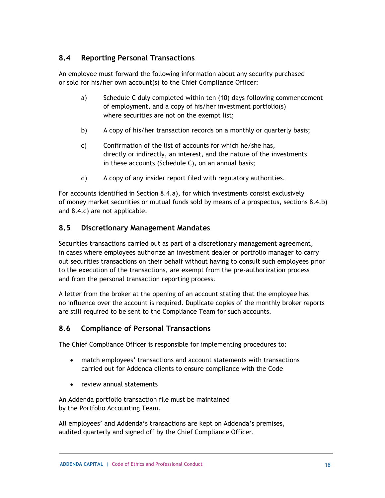#### <span id="page-18-0"></span>**8.4 Reporting Personal Transactions**

An employee must forward the following information about any security purchased or sold for his/her own account(s) to the Chief Compliance Officer:

- a) Schedule C duly completed within ten (10) days following commencement of employment, and a copy of his/her investment portfolio(s) where securities are not on the exempt list;
- b) A copy of his/her transaction records on a monthly or quarterly basis;
- c) Confirmation of the list of accounts for which he/she has, directly or indirectly, an interest, and the nature of the investments in these accounts (Schedule C), on an annual basis;
- d) A copy of any insider report filed with regulatory authorities.

For accounts identified in Section 8.4.a), for which investments consist exclusively of money market securities or mutual funds sold by means of a prospectus, sections 8.4.b) and 8.4.c) are not applicable.

#### <span id="page-18-1"></span>**8.5 Discretionary Management Mandates**

Securities transactions carried out as part of a discretionary management agreement, in cases where employees authorize an investment dealer or portfolio manager to carry out securities transactions on their behalf without having to consult such employees prior to the execution of the transactions, are exempt from the pre-authorization process and from the personal transaction reporting process.

A letter from the broker at the opening of an account stating that the employee has no influence over the account is required. Duplicate copies of the monthly broker reports are still required to be sent to the Compliance Team for such accounts.

#### <span id="page-18-2"></span>**8.6 Compliance of Personal Transactions**

The Chief Compliance Officer is responsible for implementing procedures to:

- match employees' transactions and account statements with transactions carried out for Addenda clients to ensure compliance with the Code
- review annual statements

An Addenda portfolio transaction file must be maintained by the Portfolio Accounting Team.

All employees' and Addenda's transactions are kept on Addenda's premises, audited quarterly and signed off by the Chief Compliance Officer.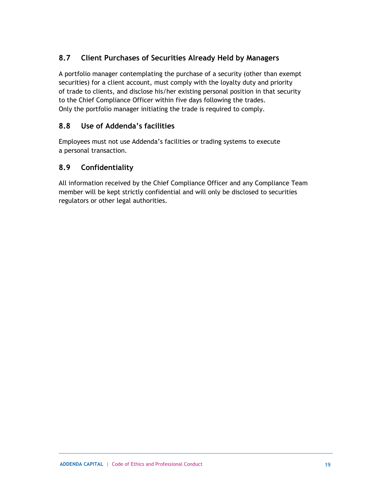#### <span id="page-19-0"></span>**8.7 Client Purchases of Securities Already Held by Managers**

A portfolio manager contemplating the purchase of a security (other than exempt securities) for a client account, must comply with the loyalty duty and priority of trade to clients, and disclose his/her existing personal position in that security to the Chief Compliance Officer within five days following the trades. Only the portfolio manager initiating the trade is required to comply.

#### <span id="page-19-1"></span>**8.8 Use of Addenda's facilities**

Employees must not use Addenda's facilities or trading systems to execute a personal transaction.

#### <span id="page-19-2"></span>**8.9 Confidentiality**

All information received by the Chief Compliance Officer and any Compliance Team member will be kept strictly confidential and will only be disclosed to securities regulators or other legal authorities.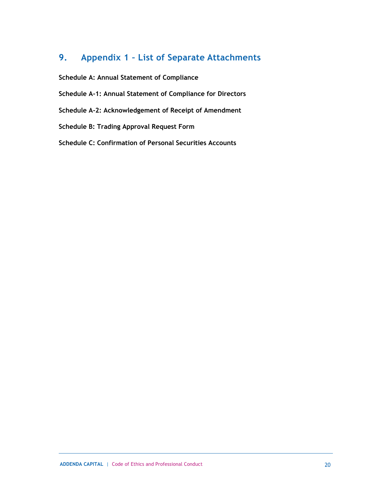## <span id="page-20-0"></span>**9. Appendix 1 – List of Separate Attachments**

**Schedule A: Annual Statement of Compliance**

- **Schedule A-1: Annual Statement of Compliance for Directors**
- **Schedule A-2: Acknowledgement of Receipt of Amendment**
- **Schedule B: Trading Approval Request Form**
- **Schedule C: Confirmation of Personal Securities Accounts**